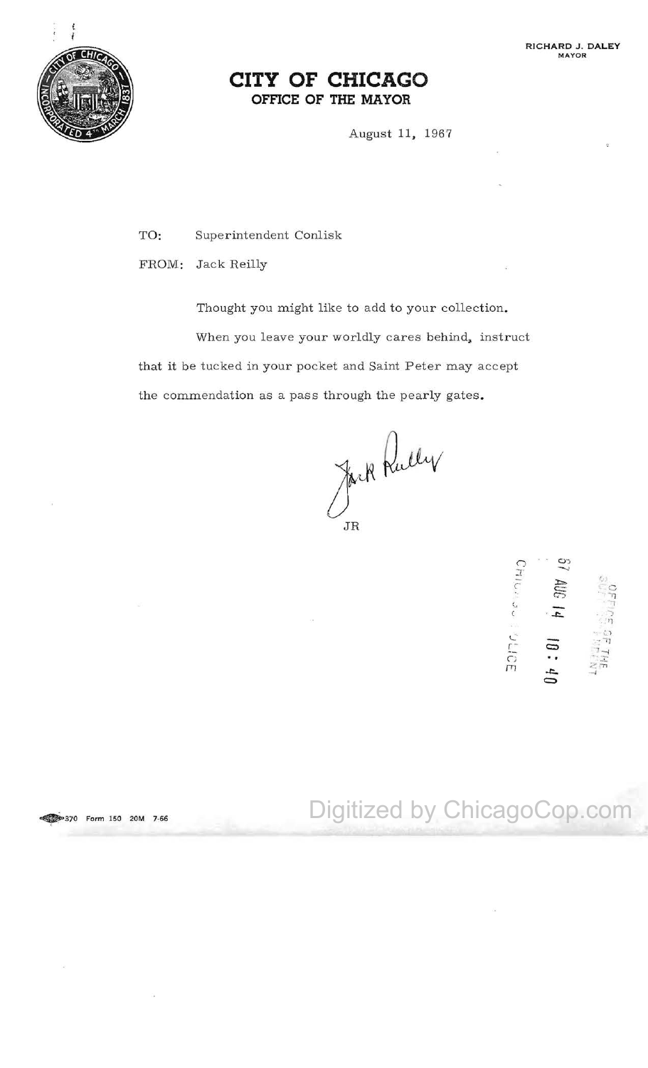

## **CITY OF CHICAGO OFFICE OF THE MAYOR**

August 11. 1967

TO: Superintendent Conlisk

FROM: Jack Reilly

Thought you might like to add to your collection. When you leave your worldly cares behind, instruct that it be tucked in your pocket and Saint Peter may accept the commendation as a pass through the pearly gates.

Jack Rully

ດ ວ  $\tilde{c}$  ,  $\tilde{c}$ - **'..... ,** ):::" *<sup>c</sup>*c.:::: c-;, .~ '1  $\sim$   $\sim$  $\overline{z}$   $\overline{z}$ . '1 10<br> **C**<br>
C ...<br>
C ...  $\mathcal{L}$  $\vec{a}$   $\vec{b}$   $\vec{c}$  $\overline{a}$ 

**P370 Form 150 20M 7-66** Digitized by ChicagoCop.com